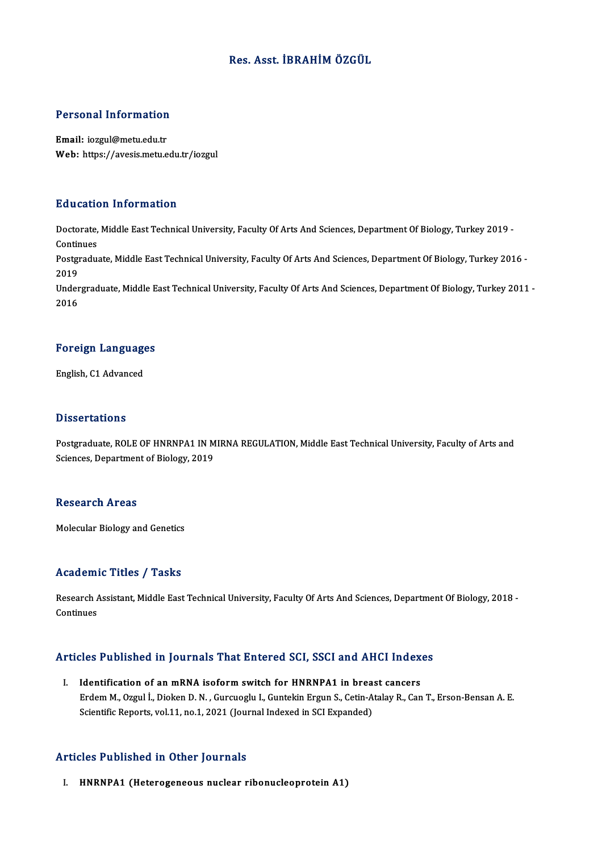### Res. Asst. İBRAHİMÖZGÜL

# Personal Information

Personal Information<br>Email: iozgul@metu.edu.tr<br>Web: https://avesis.metu.e Email: iozgul@metu.edu.tr<br>Web: https://avesis.metu.edu.tr/iozgul

#### Education Information

**Education Information**<br>Doctorate, Middle East Technical University, Faculty Of Arts And Sciences, Department Of Biology, Turkey 2019 -<br>Continues Doctorate,<br>Continues<br>Postaredus Doctorate, Middle East Technical University, Faculty Of Arts And Sciences, Department Of Biology, Turkey 2019 -<br>Continues<br>Postgraduate, Middle East Technical University, Faculty Of Arts And Sciences, Department Of Biology, Contir<br>Postgi<br>2019<br>Under Postgraduate, Middle East Technical University, Faculty Of Arts And Sciences, Department Of Biology, Turkey 2016 -<br>2019<br>Undergraduate, Middle East Technical University, Faculty Of Arts And Sciences, Department Of Biology, 2019<br>Undergraduate, Middle East Technical University, Faculty Of Arts And Sciences, Department Of Biology, Turkey 2011 -<br>2016

### <sub>2016</sub><br>Foreign Languages F<mark>oreign Languag</mark>e<br>English, C1 Advanced

English, C1 Advanced<br>Dissertations

Postgraduate, ROLE OF HNRNPA1 IN MIRNA REGULATION, Middle East Technical University, Faculty of Arts and Sciences, Department of Biology, 2019

#### **Research Areas**

Molecular Biology and Genetics

#### Academic Titles / Tasks

Academic Titles / Tasks<br>Research Assistant, Middle East Technical University, Faculty Of Arts And Sciences, Department Of Biology, 2018 -<br>Continues Research A<br>Continues

# Articles Published in Journals That Entered SCI, SSCI and AHCI Indexes

rticles Published in Journals That Entered SCI, SSCI and AHCI Index<br>I. Identification of an mRNA isoform switch for HNRNPA1 in breast cancers<br>Endem M. Ozzul L. Dielten D. N. Gurguezh: L. Guntekin Engun S. Cetin Ateleu B. C Erdem M., Ozgul İ., Dioken D. N., Gurcuoglu I., Guntekin Ergun S., Cetin-Atalay R., Can T., Erson-Bensan A. E.<br>Erdem M., Ozgul İ., Dioken D. N., Gurcuoglu I., Guntekin Ergun S., Cetin-Atalay R., Can T., Erson-Bensan A. E.<br> Identification of an mRNA isoform switch for HNRNPA1 in brea:<br>Erdem M., Ozgul İ., Dioken D. N. , Gurcuoglu I., Guntekin Ergun S., Cetin-A<br>Scientific Reports, vol.11, no.1, 2021 (Journal Indexed in SCI Expanded) Scientific Reports, vol.11, no.1, 2021 (Journal Indexed in SCI Expanded)<br>Articles Published in Other Journals

I. HNRNPA1 (Heterogeneous nuclear ribonucleoprotein A1)